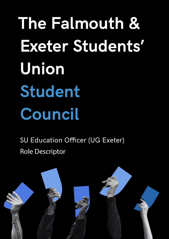**The Falmouth & Exeter Students' Union Student Council**

SU Education Officer (UG Exeter) Role Descriptor

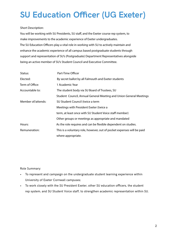## **SU Education Officer (UG Exeter)**

## Short Description:

You will be working with SU Presidents, SU staff, and the Exeter course rep system, to make improvements to the academic experience of Exeter undergraduates. The SU Education Officers play a vital role in working with SU to actively maintain and enhance the academic experience of all campus based postgraduate students through support and representation of SU's (Postgraduate) Department Representatives alongside being an active member of SU's Student Council and Executive Committee.

| Status:            | Part-Time Officer                                                      |
|--------------------|------------------------------------------------------------------------|
| Elected:           | By secret ballot by all Falmouth and Exeter students                   |
| Term of Office:    | 1 Academic Year                                                        |
| Accountable to:    | The student body via SU Board of Trustees, SU                          |
|                    | Student Council, Annual General Meeting and Union General Meetings     |
| Member of/attends: | SU Student Council (twice a term                                       |
|                    | Meetings with President Exeter (twice a                                |
|                    | term, at least once with SU Student Voice staff member)                |
|                    | Other groups or meetings as appropriate and mandated                   |
| Hours:             | As the role requires and can be flexible dependent on studies.         |
| Remuneration:      | This is a voluntary role, however, out of pocket expenses will be paid |
|                    | where appropriate.                                                     |

Role Summary:

- To represent and campaign on the undergraduate student learning experience within University of Exeter Cornwall campuses;
- To work closely with the SU President Exeter, other SU education officers, the student rep system, and SU Student Voice staff, to strengthen academic representation within SU.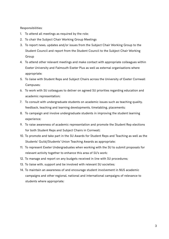Responsibilities:

- 1. To attend all meetings as required by the role;
- 2. To chair the Subject Chair Working Group Meetings
- 3. To report news, updates and/or issues from the Subject Chair Working Group to the Student Council and report from the Student Council to the Subject Chair Working Group
- 4. To attend other relevant meetings and make contact with appropriate colleagues within Exeter University and Falmouth Exeter Plus as well as external organisations where appropriate;
- 5. To liaise with Student Reps and Subject Chairs across the University of Exeter Cornwall Campuses;
- 6. To work with SU colleagues to deliver on agreed SU priorities regarding education and academic representation;
- 7. To consult with undergraduate students on academic issues such as teaching quality, feedback, teaching and learning developments, timetabling, placements;
- 8. To campaign and involve undergraduate students in improving the student learning experience;
- 9. To raise awareness of academic representation and promote the Student Rep elections for both Student Reps and Subject Chairs in Cornwall;
- 10. To promote and take part in the SU Awards for Student Reps and Teaching as well as the Students' Guild/Students' Union Teaching Awards as appropriate;
- 11. To represent Exeter Undergraduates when working with the SU to submit proposals for relevant activity together to enhance this area of SU's work;
- 12. To manage and report on any budgets received in line with SU procedures;
- 13. To liaise with, support and be involved with relevant SU societies;
- 14. To maintain an awareness of and encourage student involvement in NUS academic campaigns and other regional, national and international campaigns of relevance to students where appropriate;